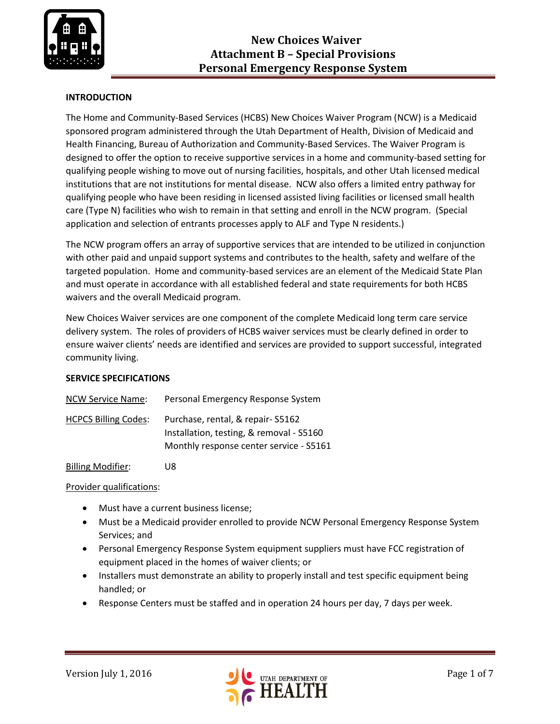

# **INTRODUCTION**

The Home and Community-Based Services (HCBS) New Choices Waiver Program (NCW) is a Medicaid sponsored program administered through the Utah Department of Health, Division of Medicaid and Health Financing, Bureau of Authorization and Community-Based Services. The Waiver Program is designed to offer the option to receive supportive services in a home and community-based setting for qualifying people wishing to move out of nursing facilities, hospitals, and other Utah licensed medical institutions that are not institutions for mental disease. NCW also offers a limited entry pathway for qualifying people who have been residing in licensed assisted living facilities or licensed small health care (Type N) facilities who wish to remain in that setting and enroll in the NCW program. (Special application and selection of entrants processes apply to ALF and Type N residents.)

The NCW program offers an array of supportive services that are intended to be utilized in conjunction with other paid and unpaid support systems and contributes to the health, safety and welfare of the targeted population. Home and community-based services are an element of the Medicaid State Plan and must operate in accordance with all established federal and state requirements for both HCBS waivers and the overall Medicaid program.

New Choices Waiver services are one component of the complete Medicaid long term care service delivery system. The roles of providers of HCBS waiver services must be clearly defined in order to ensure waiver clients' needs are identified and services are provided to support successful, integrated community living.

### **SERVICE SPECIFICATIONS**

| <b>NCW Service Name:</b>    | Personal Emergency Response System                                                                                      |
|-----------------------------|-------------------------------------------------------------------------------------------------------------------------|
| <b>HCPCS Billing Codes:</b> | Purchase, rental, & repair-S5162<br>Installation, testing, & removal - S5160<br>Monthly response center service - S5161 |

Billing Modifier: U8

Provider qualifications:

- Must have a current business license;
- Must be a Medicaid provider enrolled to provide NCW Personal Emergency Response System Services; and
- Personal Emergency Response System equipment suppliers must have FCC registration of equipment placed in the homes of waiver clients; or
- Installers must demonstrate an ability to properly install and test specific equipment being handled; or
- Response Centers must be staffed and in operation 24 hours per day, 7 days per week.

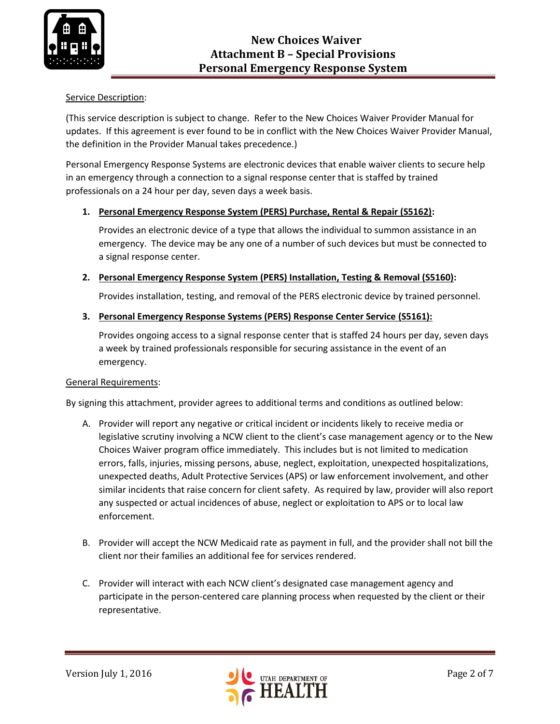

### Service Description:

(This service description is subject to change. Refer to the New Choices Waiver Provider Manual for updates. If this agreement is ever found to be in conflict with the New Choices Waiver Provider Manual, the definition in the Provider Manual takes precedence.)

Personal Emergency Response Systems are electronic devices that enable waiver clients to secure help in an emergency through a connection to a signal response center that is staffed by trained professionals on a 24 hour per day, seven days a week basis.

### **1. Personal Emergency Response System (PERS) Purchase, Rental & Repair (S5162):**

Provides an electronic device of a type that allows the individual to summon assistance in an emergency. The device may be any one of a number of such devices but must be connected to a signal response center.

### **2. Personal Emergency Response System (PERS) Installation, Testing & Removal (S5160):**

Provides installation, testing, and removal of the PERS electronic device by trained personnel.

#### **3. Personal Emergency Response Systems (PERS) Response Center Service (S5161):**

Provides ongoing access to a signal response center that is staffed 24 hours per day, seven days a week by trained professionals responsible for securing assistance in the event of an emergency.

#### General Requirements:

By signing this attachment, provider agrees to additional terms and conditions as outlined below:

- A. Provider will report any negative or critical incident or incidents likely to receive media or legislative scrutiny involving a NCW client to the client's case management agency or to the New Choices Waiver program office immediately. This includes but is not limited to medication errors, falls, injuries, missing persons, abuse, neglect, exploitation, unexpected hospitalizations, unexpected deaths, Adult Protective Services (APS) or law enforcement involvement, and other similar incidents that raise concern for client safety. As required by law, provider will also report any suspected or actual incidences of abuse, neglect or exploitation to APS or to local law enforcement.
- B. Provider will accept the NCW Medicaid rate as payment in full, and the provider shall not bill the client nor their families an additional fee for services rendered.
- C. Provider will interact with each NCW client's designated case management agency and participate in the person-centered care planning process when requested by the client or their representative.

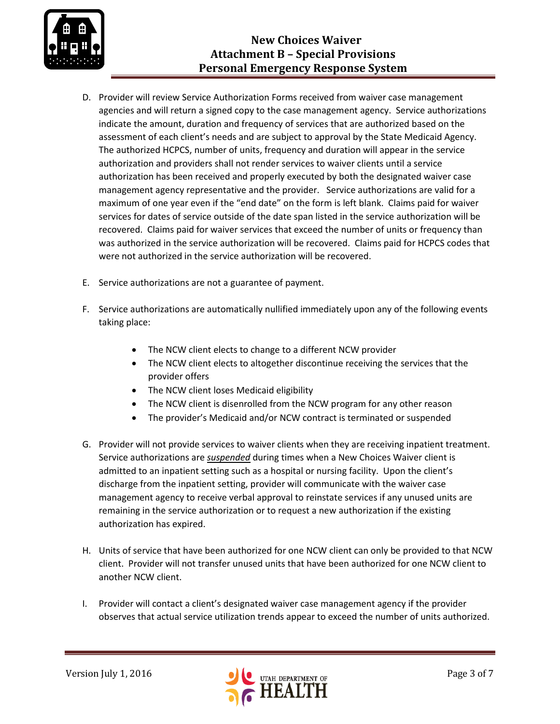

- D. Provider will review Service Authorization Forms received from waiver case management agencies and will return a signed copy to the case management agency. Service authorizations indicate the amount, duration and frequency of services that are authorized based on the assessment of each client's needs and are subject to approval by the State Medicaid Agency. The authorized HCPCS, number of units, frequency and duration will appear in the service authorization and providers shall not render services to waiver clients until a service authorization has been received and properly executed by both the designated waiver case management agency representative and the provider. Service authorizations are valid for a maximum of one year even if the "end date" on the form is left blank. Claims paid for waiver services for dates of service outside of the date span listed in the service authorization will be recovered. Claims paid for waiver services that exceed the number of units or frequency than was authorized in the service authorization will be recovered. Claims paid for HCPCS codes that were not authorized in the service authorization will be recovered.
- E. Service authorizations are not a guarantee of payment.
- F. Service authorizations are automatically nullified immediately upon any of the following events taking place:
	- The NCW client elects to change to a different NCW provider
	- The NCW client elects to altogether discontinue receiving the services that the provider offers
	- The NCW client loses Medicaid eligibility
	- The NCW client is disenrolled from the NCW program for any other reason
	- The provider's Medicaid and/or NCW contract is terminated or suspended
- G. Provider will not provide services to waiver clients when they are receiving inpatient treatment. Service authorizations are *suspended* during times when a New Choices Waiver client is admitted to an inpatient setting such as a hospital or nursing facility. Upon the client's discharge from the inpatient setting, provider will communicate with the waiver case management agency to receive verbal approval to reinstate services if any unused units are remaining in the service authorization or to request a new authorization if the existing authorization has expired.
- H. Units of service that have been authorized for one NCW client can only be provided to that NCW client. Provider will not transfer unused units that have been authorized for one NCW client to another NCW client.
- I. Provider will contact a client's designated waiver case management agency if the provider observes that actual service utilization trends appear to exceed the number of units authorized.

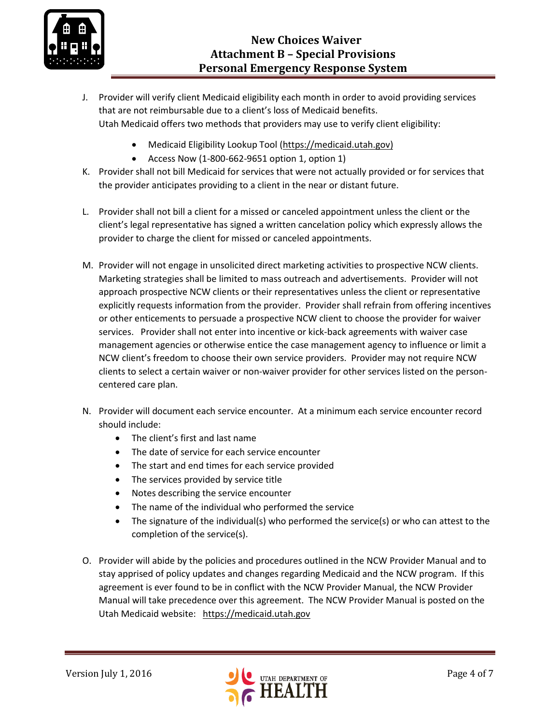

- J. Provider will verify client Medicaid eligibility each month in order to avoid providing services that are not reimbursable due to a client's loss of Medicaid benefits. Utah Medicaid offers two methods that providers may use to verify client eligibility:
	- Medicaid Eligibility Lookup Tool [\(https://medicaid.utah.gov\)](https://medicaid.utah.gov/)
	- Access Now  $(1-800-662-9651$  option 1, option 1)
- K. Provider shall not bill Medicaid for services that were not actually provided or for services that the provider anticipates providing to a client in the near or distant future.
- L. Provider shall not bill a client for a missed or canceled appointment unless the client or the client's legal representative has signed a written cancelation policy which expressly allows the provider to charge the client for missed or canceled appointments.
- M. Provider will not engage in unsolicited direct marketing activities to prospective NCW clients. Marketing strategies shall be limited to mass outreach and advertisements. Provider will not approach prospective NCW clients or their representatives unless the client or representative explicitly requests information from the provider. Provider shall refrain from offering incentives or other enticements to persuade a prospective NCW client to choose the provider for waiver services. Provider shall not enter into incentive or kick-back agreements with waiver case management agencies or otherwise entice the case management agency to influence or limit a NCW client's freedom to choose their own service providers. Provider may not require NCW clients to select a certain waiver or non-waiver provider for other services listed on the personcentered care plan.
- N. Provider will document each service encounter. At a minimum each service encounter record should include:
	- The client's first and last name
	- The date of service for each service encounter
	- The start and end times for each service provided
	- The services provided by service title
	- Notes describing the service encounter
	- The name of the individual who performed the service
	- The signature of the individual(s) who performed the service(s) or who can attest to the completion of the service(s).
- O. Provider will abide by the policies and procedures outlined in the NCW Provider Manual and to stay apprised of policy updates and changes regarding Medicaid and the NCW program. If this agreement is ever found to be in conflict with the NCW Provider Manual, the NCW Provider Manual will take precedence over this agreement. The NCW Provider Manual is posted on the Utah Medicaid website: [https://medicaid.utah.gov](https://medicaid.utah.gov/)

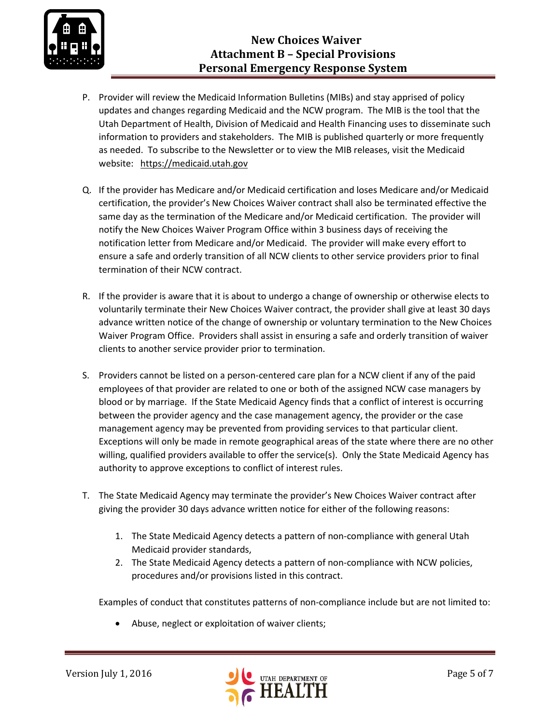

- P. Provider will review the Medicaid Information Bulletins (MIBs) and stay apprised of policy updates and changes regarding Medicaid and the NCW program. The MIB is the tool that the Utah Department of Health, Division of Medicaid and Health Financing uses to disseminate such information to providers and stakeholders. The MIB is published quarterly or more frequently as needed. To subscribe to the Newsletter or to view the MIB releases, visit the Medicaid website: [https://medicaid.utah.gov](https://medicaid.utah.gov/)
- Q. If the provider has Medicare and/or Medicaid certification and loses Medicare and/or Medicaid certification, the provider's New Choices Waiver contract shall also be terminated effective the same day as the termination of the Medicare and/or Medicaid certification. The provider will notify the New Choices Waiver Program Office within 3 business days of receiving the notification letter from Medicare and/or Medicaid. The provider will make every effort to ensure a safe and orderly transition of all NCW clients to other service providers prior to final termination of their NCW contract.
- R. If the provider is aware that it is about to undergo a change of ownership or otherwise elects to voluntarily terminate their New Choices Waiver contract, the provider shall give at least 30 days advance written notice of the change of ownership or voluntary termination to the New Choices Waiver Program Office. Providers shall assist in ensuring a safe and orderly transition of waiver clients to another service provider prior to termination.
- S. Providers cannot be listed on a person-centered care plan for a NCW client if any of the paid employees of that provider are related to one or both of the assigned NCW case managers by blood or by marriage. If the State Medicaid Agency finds that a conflict of interest is occurring between the provider agency and the case management agency, the provider or the case management agency may be prevented from providing services to that particular client. Exceptions will only be made in remote geographical areas of the state where there are no other willing, qualified providers available to offer the service(s). Only the State Medicaid Agency has authority to approve exceptions to conflict of interest rules.
- T. The State Medicaid Agency may terminate the provider's New Choices Waiver contract after giving the provider 30 days advance written notice for either of the following reasons:
	- 1. The State Medicaid Agency detects a pattern of non-compliance with general Utah Medicaid provider standards,
	- 2. The State Medicaid Agency detects a pattern of non-compliance with NCW policies, procedures and/or provisions listed in this contract.

Examples of conduct that constitutes patterns of non-compliance include but are not limited to:

Abuse, neglect or exploitation of waiver clients;

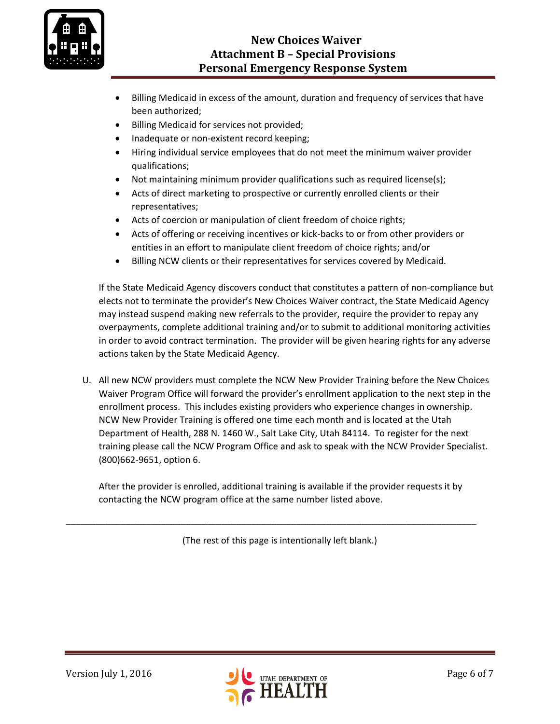

- Billing Medicaid in excess of the amount, duration and frequency of services that have been authorized;
- Billing Medicaid for services not provided;
- Inadequate or non-existent record keeping;
- Hiring individual service employees that do not meet the minimum waiver provider qualifications;
- Not maintaining minimum provider qualifications such as required license(s);
- Acts of direct marketing to prospective or currently enrolled clients or their representatives;
- Acts of coercion or manipulation of client freedom of choice rights;
- Acts of offering or receiving incentives or kick-backs to or from other providers or entities in an effort to manipulate client freedom of choice rights; and/or
- Billing NCW clients or their representatives for services covered by Medicaid.

If the State Medicaid Agency discovers conduct that constitutes a pattern of non-compliance but elects not to terminate the provider's New Choices Waiver contract, the State Medicaid Agency may instead suspend making new referrals to the provider, require the provider to repay any overpayments, complete additional training and/or to submit to additional monitoring activities in order to avoid contract termination. The provider will be given hearing rights for any adverse actions taken by the State Medicaid Agency.

U. All new NCW providers must complete the NCW New Provider Training before the New Choices Waiver Program Office will forward the provider's enrollment application to the next step in the enrollment process. This includes existing providers who experience changes in ownership. NCW New Provider Training is offered one time each month and is located at the Utah Department of Health, 288 N. 1460 W., Salt Lake City, Utah 84114. To register for the next training please call the NCW Program Office and ask to speak with the NCW Provider Specialist. (800)662-9651, option 6.

After the provider is enrolled, additional training is available if the provider requests it by contacting the NCW program office at the same number listed above.

(The rest of this page is intentionally left blank.)

\_\_\_\_\_\_\_\_\_\_\_\_\_\_\_\_\_\_\_\_\_\_\_\_\_\_\_\_\_\_\_\_\_\_\_\_\_\_\_\_\_\_\_\_\_\_\_\_\_\_\_\_\_\_\_\_\_\_\_\_\_\_\_\_\_\_\_\_\_\_\_\_\_\_\_\_\_\_\_\_\_\_